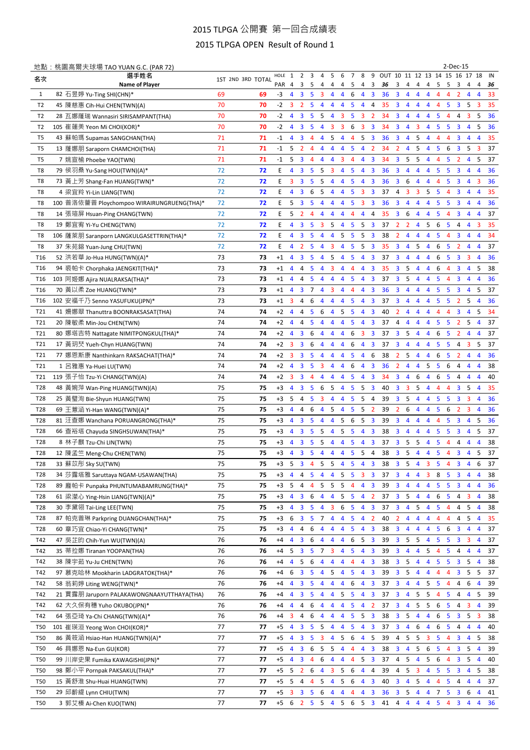## 2015 TLPGA 公開賽 第一回合成績表

## 2015 TLPGA OPEN Result of Round 1

|                        | 地點: 桃園高爾夫球場 TAO YUAN G.C. (PAR 72)                                         |          |                   |              |                     |                         |                     |                         |                |                |                |                              |                              |                       |                                           |                         |                                  |                         |                |                | 2-Dec-15                |                         |                     |          |
|------------------------|----------------------------------------------------------------------------|----------|-------------------|--------------|---------------------|-------------------------|---------------------|-------------------------|----------------|----------------|----------------|------------------------------|------------------------------|-----------------------|-------------------------------------------|-------------------------|----------------------------------|-------------------------|----------------|----------------|-------------------------|-------------------------|---------------------|----------|
| 名次                     | 撰手姓名                                                                       |          | 1ST 2ND 3RD TOTAL | HOLE         | 1                   | 2                       | 3                   | 4                       | 5              | 6              | 7              | 8                            | 9                            | OUT 10 11 12 13 14 15 |                                           |                         |                                  |                         |                |                | 16                      | 17                      | 18                  | IN       |
|                        | Name of Player                                                             |          |                   | PAR 4        |                     | 3                       | 5                   | 4                       | 4              | 4              | 5              | 4                            | 3                            | 36                    | 3                                         | 4                       | 4                                | 4                       | 5              | 5              | 3                       | 4                       | 4                   | 36       |
| $\mathbf{1}$           | 82 石昱婷 Yu-Ting SHI(CHN)*                                                   | 69       | 69                | -3           | $\overline{4}$      | 3                       | -5                  | 3                       | 4              | 4              | 6              | $\overline{4}$               | 3                            | 36                    | 3                                         | 4                       | 4                                | 4                       | 4              | 4              | 2                       | 4                       | $\overline{4}$      | 33       |
| T2                     | 45 陳慈惠 Cih-Hui CHEN(TWN)(A)                                                | 70       | 70                | -2           | 3                   | $\overline{2}$          | -5                  | 4                       | 4              | 4              | 5              | $\overline{4}$               | 4                            | 35                    | 3                                         | 4                       | $\overline{4}$                   | 4                       | 4              | 5              | 3                       | 5                       | 3                   | 35       |
| T2                     | 28 瓦娜蕯瑞 Wannasiri SIRISAMPANT(THA)                                         | 70       | 70                | $-2$         | $\overline{4}$      | 3                       | -5                  | 5                       | $\overline{4}$ | 3              | 5              | $\overline{3}$               | 2                            | 34                    | 3                                         | 4                       | 4                                | 4                       | 5              | 4              | 4                       | 3                       | 5                   | 36       |
| T2                     | 105 崔蓮美 Yeon Mi CHOI(KOR)*                                                 | 70       | 70                | $-2$         | 4                   | 3                       | 5                   | 4                       | 3              | 3              | 6              | 3                            | $\overline{3}$               | 34                    | 3                                         | 4                       | 3                                | 4                       | 5              | 5              | 3                       | 4                       | 5                   | 36       |
| T5                     | 43 蘇帕瑪 Supamas SANGCHAN(THA)                                               | 71       | 71                | $-1$         | 4                   | 3                       | $\overline{4}$      | 4                       | 5              | 4              | 4              | 5                            | $\overline{3}$               | 36                    | 3                                         | 4                       | 5                                | 4                       | 4              | 4              | 3                       | 4                       | $\overline{4}$      | 35       |
| T5                     | 13 蕯娜朋 Saraporn CHAMCHOI(THA)                                              | 71       | 71                | $-1$         | 5                   | $\overline{2}$          | 4                   | 4                       | 4              | 4              | 5              | $\overline{4}$               | $\overline{2}$               | 34                    | $\overline{2}$                            | 4                       | 5                                | 4                       | 5              | 6              | 3                       | 5                       | 3                   | 37       |
| T5                     | 7 姚宣榆 Phoebe YAO(TWN)                                                      | 71       | 71                | $-1$         | 5                   | 3                       | 4                   | 4                       | 4              | 3              | 4              | $\overline{4}$               | $\overline{3}$               | 34                    | 3                                         | 5                       | -5                               | 4                       | 4              | 5              | $\overline{2}$          | 4                       | 5                   | 37       |
| T8                     | 79 侯羽桑 Yu-Sang HOU(TWN)(A)*                                                | 72       | 72                | E.           | 4                   | 3                       | -5                  | 5                       | 3              | $\overline{4}$ | 5              | $\overline{4}$               | 3                            | 36                    | 3                                         | 4                       | 4                                | 4                       | 5              | 5              | 3                       | 4                       | $\overline{4}$      | 36       |
| T8                     | 73 黃上芳 Shang-Fan HUANG(TWN)*                                               | 72       | 72                | E.           | 3                   | 3                       | -5                  | - 5                     | $\overline{4}$ | $\overline{4}$ | 5              | $\overline{4}$               | $\overline{\mathbf{3}}$      | 36                    | $\overline{\mathbf{3}}$                   | 6                       | $\overline{4}$                   | 4                       | 4              | 5              | 3                       | $\overline{4}$          | 3                   | 36       |
| T8                     | 4 梁宜羚 Yi-Lin LIANG(TWN)                                                    | 72       | 72                | E.           | 4                   | 3                       | 6                   | 5                       | $\overline{4}$ | 4              | 5              | $\overline{\mathbf{3}}$      | 3                            | 37                    | 4                                         | 3                       | 3                                | 5                       | -5             | 4              | 3                       | 4                       | $\overline{4}$      | 35       |
| T8                     | 100 普洛依薔普 Ploychompoo WIRAIRUNGRUENG(THA)*                                 | 72       | 72                | E.           | 5                   | 3                       | -5                  | 4                       | 4              | $\overline{4}$ | 5              | 3 <sup>3</sup>               |                              | 36                    | 3                                         | 4                       | 4                                | 4                       | $5^{\circ}$    | 5              | 3                       | 4                       | $\overline{4}$      | 36       |
| T8                     | 14 張瑄屏 Hsuan-Ping CHANG(TWN)                                               | 72       | 72                | E.           | 5                   | $\overline{2}$          | 4                   | 4                       | $\overline{4}$ | 4              | 4              | 4                            | 4                            | 35                    | 3                                         | 6                       | 4                                | 4                       | 5              | 4              | 3                       | 4                       | $\overline{4}$      | 37       |
| T8                     | 19 鄭宜宥 Yi-Yu CHENG(TWN)                                                    | 72       | 72                | E.           | 4                   | 3                       | -5                  | $\overline{\mathbf{3}}$ | 5              | $\overline{4}$ | 5              | 5 <sub>3</sub>               |                              | 37                    | $\overline{2}$                            | $\overline{2}$          | $\overline{4}$                   | 5                       | 6              | - 5            | 4                       | $\overline{4}$          | 3                   | 35       |
| T8                     | 106 薩萊朋 Saranporn LANGKULGASETTRIN(THA)*                                   | 72       | 72                | E.           | 4                   | 3                       | -5                  | 4                       | 4              | 5              | 5              | 5                            | $\overline{\mathbf{3}}$      | 38                    | $\overline{2}$                            | 4                       | 4                                | 4                       | 5              | 4              | 3                       | 4                       | 4                   | 34       |
| T8                     | 37 朱苑鎔 Yuan-Jung CHU(TWN)                                                  | 72       | 72                | E.           | 4                   | $\overline{2}$          | 5                   | 4                       | $\overline{3}$ | $\overline{4}$ | 5              | $5\overline{)}$              | $\overline{\mathbf{3}}$      | 35                    | $\overline{\mathbf{3}}$                   | 4                       | 5                                | $\overline{4}$          | 6              | 5              | $\overline{2}$          | 4                       | $\overline{4}$      | 37       |
| T <sub>16</sub>        | 52 洪若華 Jo-Hua HUNG(TWN)(A)*                                                | 73       | 73                | $+1$         | $\overline{4}$      | $\overline{\mathbf{3}}$ | 5                   | 4                       | 5              | $\overline{4}$ | 5              | $\overline{4}$               | $\overline{\mathbf{3}}$      | 37                    | 3                                         | 4                       | 4                                | 4                       | 6              | 5              | 3                       | 3                       | $\overline{4}$      | 36       |
| T <sub>16</sub>        | 94 裘帕卡 Chorphaka JAENGKIT(THA)*                                            | 73       | 73                | $+1$         | 4                   | 4                       | 5                   | 4                       | 3              | 4              | 4              | 4                            | 3                            | 35                    | 3                                         | 5                       | 4                                | 4                       | 6              | 4              | 3                       | 4                       | 5                   | 38       |
| T <sub>16</sub>        | 103 阿姬娜 Ajira NUALRAKSA(THA)*                                              | 73       | 73                | $+1$         | $\overline{4}$      | 4                       | 5                   | 4                       | 4              | 4              | 5              | $\overline{4}$               | $\overline{\mathbf{3}}$      | 37                    | 3                                         | 5                       | 4                                | 4                       | 5              | 4              | 3                       | 4                       | $\overline{4}$      | 36       |
| T <sub>16</sub>        | 70 黃以柔 Zoe HUANG(TWN)*                                                     | 73       | 73                | $+1$         | $\overline{4}$      | 3                       | 7                   | 4                       | 3              | 4              | 4              | 4                            | $\overline{3}$               | 36                    | 3                                         | 4                       | 4                                | 4                       | 5              | 5              | $\overline{\mathbf{3}}$ | 4                       | 5                   | 37       |
| T <sub>16</sub>        | 102 安福千乃 Senno YASUFUKU(JPN)*                                              | 73       | 73                | $+1$         | 3                   | 4                       | 6                   | $\overline{4}$          | 4              | 4              | 5              | $\overline{4}$               | $\overline{3}$               | 37                    | 3                                         | 4                       | 4                                | 4                       | 5              | 5              | $\overline{2}$          | 5                       | $\overline{4}$      | 36       |
| T21                    | 41 姍娜翠 Thanuttra BOONRAKSASAT(THA)                                         | 74       | 74                | $+2$         | $\overline{4}$      | 4                       | 5                   | 6                       | 4              | 5              | 5              | $\overline{4}$               | $\overline{3}$               | 40                    | $\overline{2}$                            | 4                       | 4                                | 4                       | 4              | 4              | 3                       | 4                       | 5                   | 34       |
| T21                    | 20 陳敏柔 Min-Jou CHEN(TWN)                                                   | 74       | 74                | $+2$         | $\overline{4}$      | 4                       | 5                   | 4                       | 4              | 4              | 5              | $\overline{4}$               | $\overline{3}$               | 37                    | 4                                         | 4                       | $\overline{4}$                   | $\overline{4}$          | 5              | 5              | $\overline{2}$          | 5                       | $\overline{4}$      | 37       |
| T21                    | 80 娜塔吉特 Nattagate NIMITPONGKUL(THA)*                                       | 74       | 74                | $+2$         | $\overline{4}$      | 3                       | 6                   | 4                       | 4              | 4              | 6              | 3                            | $\overline{\mathbf{3}}$      | 37                    | 3                                         | 5                       | $\overline{4}$                   | 4                       | 6              | 5              | 2                       | 4                       | 4                   | 37       |
| T21                    | 17 黃玥珡 Yueh-Chyn HUANG(TWN)                                                | 74       | 74                | $+2$         | 3                   | 3                       | 6                   | 4                       | 4              | 4              | 6              | 4                            | $\overline{\mathbf{3}}$      | 37                    | 3                                         | 4                       | 4                                | 4                       | 5              | 5              | 4                       | 3                       | 5                   | 37       |
| T21<br>T21             | 77 娜恩斯康 Nanthinkarn RAKSACHAT(THA)*                                        | 74<br>74 | 74<br>74          | $+2$         | 3<br>$\overline{4}$ | 3                       | 5                   | 4                       | 4              | 4<br>4         | 5              | 4                            | 6                            | 38                    | $\overline{2}$                            | 5<br>4                  | 4<br>4                           | 4                       | 6              | 5              | 2                       | 4                       | 4<br>4              | 36       |
|                        | 1 呂雅惠 Ya-Huei LU(TWN)                                                      | 74       | 74                | $+2$<br>$+2$ | 3                   | 3<br>3                  | 5<br>$\overline{4}$ | 3<br>4                  | 4<br>4         | 4              | 6<br>5         | 4<br>4                       | 3<br>3                       | 36<br>34              | $\overline{2}$<br>$\overline{\mathbf{3}}$ | 4                       | 6                                | 5<br>4                  | 5<br>6         | 6<br>5         | 4<br>4                  | 4<br>4                  | 4                   | 38<br>40 |
| T21<br>T <sub>28</sub> | 119 張子怡 Tzu-Yi CHANG(TWN)(A)                                               | 75       |                   | $+3$         | $\overline{4}$      | 3                       | 5                   | 6                       | 5              |                | 5              | -5                           | 3                            |                       | 3                                         | 3                       |                                  |                         | 4              | 4              | 3                       |                         |                     |          |
| T <sub>28</sub>        | 48 黃婉萍 Wan-Ping HUANG(TWN)(A)<br>25 黃璧洵 Bie-Shyun HUANG(TWN)               | 75       | 75<br>75          | $+3$         | 5                   | 4                       | -5                  | 3                       | 4              | 4<br>4         | 5              | -5                           | 4                            | 40<br>39              | 3                                         | 5                       | 5<br>4                           | 4<br>4                  | 5              | 5              | 3                       | 5<br>3                  | 4<br>4              | 35<br>36 |
| T <sub>28</sub>        | 69 王薏涵 Yi-Han WANG(TWN)(A)*                                                | 75       | 75                | $+3$         | 4                   | 4                       | 6                   | 4                       | 5              | 4              | 5              | -5                           | 2                            | 39                    | 2                                         | 6                       | 4                                | 4                       | 5              | 6              | 2                       | 3                       | $\overline{4}$      | 36       |
| T <sub>28</sub>        | 81 汪查娜 Wanchana PORUANGRONG(THA)*                                          | 75       | 75                | $+3$         | 4                   | 3                       | -5                  | 4                       | 4              | 5              | 6              | 5                            | 3                            | 39                    | 3                                         | 4                       | 4                                | 4                       | 4              | 5              | 3                       | 4                       | 5                   | 36       |
| T <sub>28</sub>        | 66 查裕塔 Chayuda SINGHSUWAN(THA)*                                            | 75       | 75                | $+3$         | 4                   | 3                       | 5                   | 5                       | 4              | 5              | 5              | $\overline{4}$               | 3                            | 38                    | 3                                         | 4                       | 4                                | 4                       | 5              | 5              | 3                       | 4                       | 5                   | 37       |
| T <sub>28</sub>        | 8 林子麒 Tzu-Chi LIN(TWN)                                                     | 75       | 75                | $+3$         | 4                   | 3                       | 5                   | 5                       | 4              | 4              | 5              | 4                            | 3                            | 37                    | 3                                         | 5                       | 5                                | 4                       | 5              | 4              | 4                       | 4                       | 4                   | 38       |
| T <sub>28</sub>        | 12 陳孟竺 Meng-Chu CHEN(TWN)                                                  | 75       | 75                | $+3$         | $\overline{4}$      | 3                       | -5                  | 4                       | 4              | $\overline{4}$ | 5              | 5                            | -4                           | 38                    | 3                                         | 5                       | $\overline{4}$                   | 4                       | -5             | $\overline{4}$ | 3                       | $\overline{4}$          | 5                   | 37       |
|                        |                                                                            |          |                   |              |                     |                         | 4                   |                         |                |                |                |                              |                              |                       |                                           |                         |                                  |                         |                | 4              |                         |                         |                     |          |
| T28                    | 33 蘇苡彤 Sky SU(TWN)                                                         | 75<br>75 | 75<br>75          | $+3$<br>$+3$ | 5<br>4              | 3<br>4                  | 5                   | 5<br>4                  | 5<br>4         | 4<br>5         | 5<br>5         | 4<br>$\overline{\mathbf{3}}$ | 3<br>$\overline{\mathbf{3}}$ | 38<br>37              | 3<br>3                                    | 5                       | 4                                | 3<br>3                  | 5<br>8         | 5              | 3<br>3                  | 4<br>4                  | 6<br>$\overline{4}$ | 37<br>38 |
| T <sub>28</sub><br>T28 | 34 莎露塔雅 Saruttaya NGAM-USAWAN(THA)<br>89 龐帕卡 Punpaka PHUNTUMABAMRUNG(THA)* | 75       | 75                | $+3$         | 5                   |                         | $\overline{4}$      | 5 <sub>1</sub>          | 5 5            |                |                | $\overline{4}$               | 3                            | 39                    | 3                                         | 4<br>4                  | $\overline{4}$                   | $\overline{4}$          | $5 -$          | 5              |                         |                         | $\overline{4}$      | 36       |
| T28                    |                                                                            | 75       | 75                | $+3$         | 4                   | 4<br>3                  | 6 4                 |                         | $\overline{4}$ | 5              | $\overline{4}$ | 542                          |                              |                       | 37 <sup>3</sup>                           | $\overline{\mathbf{5}}$ | $\overline{4}$<br>$\overline{4}$ | 4                       | 6              | 5 <sub>1</sub> | 3<br>4                  | 4<br>3                  | $\overline{4}$      | 38       |
| T <sub>28</sub>        | 61 梁瀠心 Ying-Hsin LIANG(TWN)(A)*<br>30 李黛翎 Tai-Ling LEE(TWN)                | 75       | 75                | $+3$         | 4                   | 3                       | 5                   | $\overline{4}$          | 3              | 6              | 5              | $\overline{4}$               | 3                            | 37                    | $\overline{\mathbf{3}}$                   | 4                       | 5                                | 4                       | 5              | 4              | 4                       | 5                       | 4                   | 38       |
| T <sub>28</sub>        | 87 帕克普琳 Parkpring DUANGCHAN(THA)*                                          | 75       | 75                | $+3$         | 6                   | 3                       |                     | 5 7                     | $\overline{4}$ | 4              | 5              | 4                            | $\overline{2}$               | 40                    | $\overline{2}$                            | 4                       | 4                                | 4                       | 4              | 4              | 4                       | 5                       | $\overline{4}$      | 35       |
| T28                    | 60 章巧宜 Chiao-Yi CHANG(TWN)*                                                | 75       | 75                | $+3$         | $\overline{4}$      | 4                       | 6                   | $\overline{4}$          | 4              | $\overline{4}$ | 5              | $\overline{4}$               | $\overline{\mathbf{3}}$      | 38                    | $\overline{\mathbf{3}}$                   | 4                       | 4                                | 4                       | $5 -$          | 6              | $\overline{\mathbf{3}}$ | 4                       | 4                   | 37       |
| T42                    | 47 吴芷昀 Chih-Yun WU(TWN)(A)                                                 | 76       | 76                | $+4$         | $\overline{4}$      | 3                       |                     | $6\quad 4$              | $\overline{4}$ | $\overline{4}$ | 6              | 5 <sub>3</sub>               |                              | 39                    | $\overline{\mathbf{3}}$                   |                         | 5 <sub>5</sub>                   |                         | 4 5 5          |                | $\overline{\mathbf{3}}$ | $\overline{\mathbf{3}}$ | $\overline{4}$      | 37       |
| T42                    | 35 蒂拉娜 Tiranan YOOPAN(THA)                                                 | 76       | 76                | $+4$         | 5                   | $\overline{\mathbf{3}}$ |                     | 5 7                     | 3              | $\overline{4}$ | 5              | $\overline{4}$               | 3                            | 39                    | 3                                         | 4                       | $\overline{4}$                   | 5                       | $\overline{4}$ | 5              | 4                       | 4                       | 4                   | 37       |
| T42                    | 38 陳宇茹 Yu-Ju CHEN(TWN)                                                     | 76       | 76                | $+4$         | 4                   | 5                       | 6                   | 4                       | 4              | $\overline{4}$ | 4              | $\overline{4}$               | $\overline{\mathbf{3}}$      | 38                    | $\overline{\mathbf{3}}$                   | 5                       | $\overline{4}$                   | 4                       | 5 <sub>1</sub> | 5              | $\overline{\mathbf{3}}$ | 5                       | $\overline{4}$      | 38       |
| T42                    | 97 慕克哈林 Mookharin LADGRATOK(THA)*                                          | 76       | 76                | $+4$         | 6                   | $\overline{\mathbf{3}}$ | 5                   | $\overline{4}$          |                | $5\quad 4$     | 5              | $\overline{4}$               | $\overline{\mathbf{3}}$      | 39                    | $\mathbf{3}$                              | 5                       | $\overline{4}$                   | $\overline{4}$          | 4              | 4              | 3                       | 5                       | -5                  | 37       |
| T42                    | 58 翁莉婷 Liting WENG(TWN)*                                                   | 76       | 76                | $+4$         | 4                   | 3                       | 5                   | $\overline{4}$          | 4              | 4              | 6              | $\overline{4}$               | 3                            | 37                    | 3                                         | 4                       | $\overline{4}$                   | 5                       | 5              | 4              | 4                       | 6                       | $\overline{4}$      | 39       |
| T42                    | 21 賈露朋 Jaruporn PALAKAWONGNAAYUTTHAYA(THA)                                 | 76       | 76                | $+4$         | $\overline{4}$      | 3                       | 5                   | 4                       | $\overline{4}$ | 5              | 5              | $\overline{4}$               | $\overline{\mathbf{3}}$      | 37                    | $\overline{\mathbf{3}}$                   | $\overline{4}$          | 5                                | 5                       | 4              | 5              | 4                       | 4                       | 5                   | 39       |
| T42                    | 62 大久保有穗 Yuho OKUBO(JPN)*                                                  | 76       | 76                | $+4$         | 4                   | 4                       | 6                   | 4                       | $\overline{4}$ | $\overline{4}$ | 5              | $\overline{4}$               | $\overline{2}$               | 37                    | 3                                         | 4                       | 5                                | 5                       | 6              | 5              | 4                       | 3                       | $\overline{4}$      | 39       |
| T42                    | 64 張亞琦 Ya-Chi CHANG(TWN)(A)*                                               | 76       | 76                | $+4$         | 3                   | 4                       | 6                   | 4                       | 4              | 4              | 5              | 5                            | $\overline{\mathbf{3}}$      | 38                    | 3                                         | 5                       | $\overline{4}$                   | 4                       | 6              | 5              | 3                       | 5                       | 3                   | 38       |
| <b>T50</b>             | 101 崔瑛洹 Yeong Won CHOI(KOR)*                                               | 77       | 77                | $+5$         | 4                   | 3                       | 5                   | 5                       | $\overline{4}$ | $\overline{4}$ | 5              | $\overline{4}$               | 3                            | 37                    | 3                                         | 4                       | 6                                | $\overline{4}$          | 6              | 5              | 4                       | $\overline{4}$          | $\overline{4}$      | 40       |
| T50                    | 86 黃筱涵 Hsiao-Han HUANG(TWN)(A)*                                            | 77       | 77                | $+5$         | $\overline{4}$      | 3                       | -5                  | 3                       | $\overline{4}$ | 5              | 6              | $\overline{4}$               | 5                            | 39                    | 4                                         | 5                       | 5                                | $\overline{\mathbf{3}}$ | 5              | $\overline{4}$ | $\overline{\mathbf{3}}$ | $\overline{4}$          | -5                  | 38       |
| T50                    | 46 具娜恩 Na-Eun GU(KOR)                                                      | 77       | 77                | $+5$         | 4                   | 3                       | 6                   | 5                       | 5              | $\overline{4}$ | 4              | 4                            | $\overline{\mathbf{3}}$      | 38                    | 3                                         | 4                       | 5                                | 6                       | 5              | $\overline{4}$ | 3                       | 5                       | $\overline{4}$      | 39       |
| T50                    | 99 川岸史果 Fumika KAWAGISHI(JPN)*                                             | 77       | 77                | $+5$         | 4                   | 3                       | $\overline{4}$      | 6                       | 4              | 4              | 4              | 5                            | $\overline{\mathbf{3}}$      | 37                    | $\overline{4}$                            | 5                       | $\overline{4}$                   | 5                       | 6              | $\overline{4}$ | 3                       | 5                       | $\overline{4}$      | 40       |
| T50                    | 98 鄭小平 Pornpak PAKSAKUL(THA)*                                              | 77       | 77                | $+5$         | -5                  | $\overline{2}$          | 6                   | 4                       | 3              | -5             | 6              | 4                            | 4                            | 39                    | 4                                         | 5                       | 3                                | 4                       | 5              | 5              | 3                       | 4                       | 5                   | 38       |
| T50                    | 15 黃舒淮 Shu-Huai HUANG(TWN)                                                 | 77       | 77                | $+5$         | -5                  | 4                       | $\overline{4}$      | 5                       | 4              | 5              | 6              | $\overline{4}$               | 3                            | 40                    | 3                                         | 4                       | 5                                | 4                       | 4              | 5              | 4                       | 4                       | 4                   | 37       |
| <b>T50</b>             | 29 邱齡緹 Lynn CHIU(TWN)                                                      | 77       | 77                | $+5$         | 3                   | 3                       | -5                  | 6                       | 4              | 4              | 4              | 4                            | $\overline{\mathbf{3}}$      | 36                    | 3                                         | 5                       | $\overline{4}$                   | 4                       | 7              | 5              | 3                       | 6                       | 4                   | 41       |
| <b>T50</b>             | 3 郭艾榛 Ai-Chen KUO(TWN)                                                     | 77       | 77                | $+5$         | - 6                 |                         |                     | $2\; 5\; 5\; 4\; 5$     |                |                |                | $6\quad 5\quad 3$            |                              | 41                    | $\overline{4}$                            |                         | $4\quad 4$                       |                         | $4\quad 5$     | $\overline{4}$ | $3 \quad 4$             |                         | $\overline{4}$      | 36       |
|                        |                                                                            |          |                   |              |                     |                         |                     |                         |                |                |                |                              |                              |                       |                                           |                         |                                  |                         |                |                |                         |                         |                     |          |